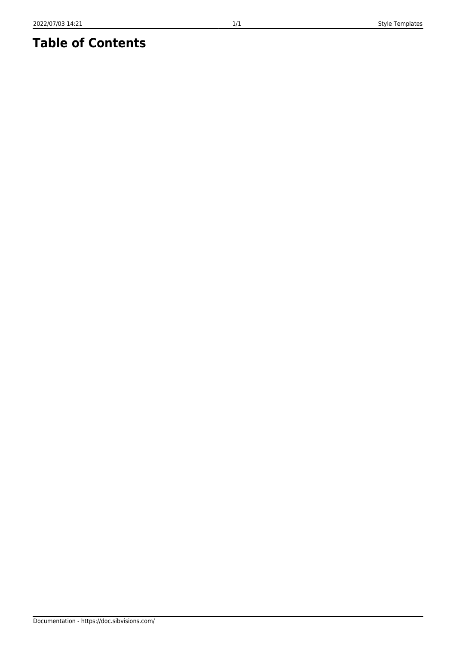## **Table of Contents**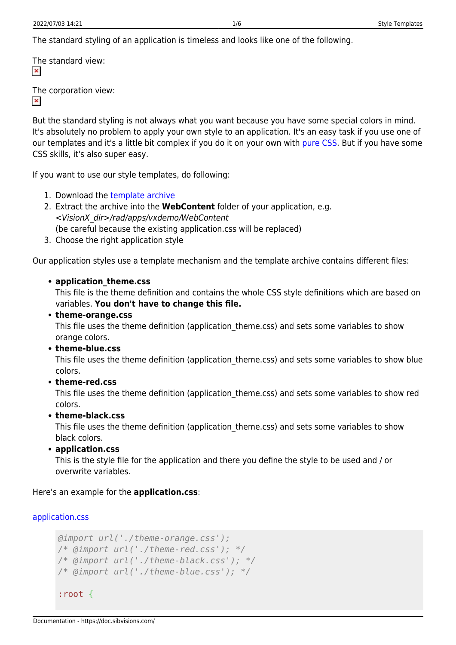The standard styling of an application is timeless and looks like one of the following.

The standard view:  $\pmb{\times}$ 

The corporation view:

 $\pmb{\times}$ 

But the standard styling is not always what you want because you have some special colors in mind. It's absolutely no problem to apply your own style to an application. It's an easy task if you use one of our templates and it's a little bit complex if you do it on your own with [pure CSS](https://blog.sibvisions.com/2018/02/20/visionx-css-styling-feature/). But if you have some CSS skills, it's also super easy.

If you want to use our style templates, do following:

- 1. Download the [template archive](https://doc.sibvisions.com/_media/visionx/visionx_style_templates_v1.4.zip)
- 2. Extract the archive into the **WebContent** folder of your application, e.g. <VisionX\_dir>/rad/apps/vxdemo/WebContent (be careful because the existing application.css will be replaced)
- 3. Choose the right application style

Our application styles use a template mechanism and the template archive contains different files:

## **application\_theme.css**

This file is the theme definition and contains the whole CSS style definitions which are based on variables. **You don't have to change this file.**

## **theme-orange.css**

This file uses the theme definition (application theme.css) and sets some variables to show orange colors.

**theme-blue.css**

This file uses the theme definition (application theme.css) and sets some variables to show blue colors.

**theme-red.css**

This file uses the theme definition (application\_theme.css) and sets some variables to show red colors.

**theme-black.css**

This file uses the theme definition (application theme.css) and sets some variables to show black colors.

**application.css**

This is the style file for the application and there you define the style to be used and / or overwrite variables.

Here's an example for the **application.css**:

```
application.css
```

```
@import url('./theme-orange.css');
/* @import url('./theme-red.css'); */
/* @import url('./theme-black.css'); */
/* @import url('./theme-blue.css'); */
:root {
```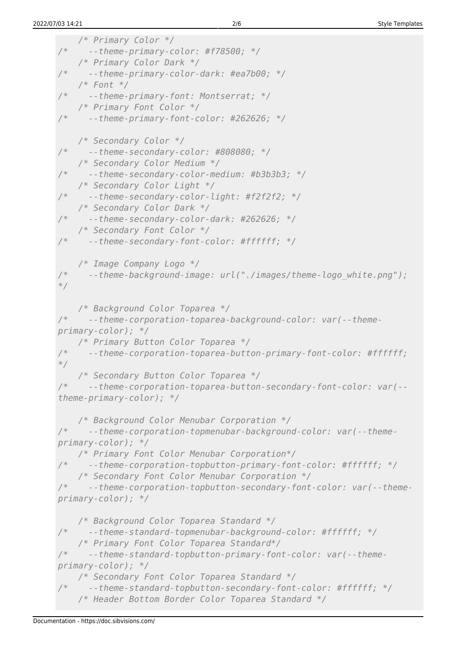```
 /* Primary Color */
      /* --theme-primary-color: #f78500; */
     /* Primary Color Dark */
/* --theme-primary-color-dark: #ea7b00; */
     /* Font */
/* --theme-primary-font: Montserrat; */
     /* Primary Font Color */
/* --theme-primary-font-color: #262626; */
 /* Secondary Color */
     /* --theme-secondary-color: #808080; */
     /* Secondary Color Medium */
/* --theme-secondary-color-medium: #b3b3b3; */
     /* Secondary Color Light */
/* --theme-secondary-color-light: #f2f2f2; */
     /* Secondary Color Dark */
/* --theme-secondary-color-dark: #262626; */
     /* Secondary Font Color */
/* --theme-secondary-font-color: #ffffff; */
    /* Image Company Logo */
/* --theme-background-image: url("./images/theme-logo_white.png");
*/
     /* Background Color Toparea */
/* --theme-corporation-toparea-background-color: var(--theme-
primary-color); */
    /* Primary Button Color Toparea */
/* --theme-corporation-toparea-button-primary-font-color: #ffffff;
*/
     /* Secondary Button Color Toparea */
/* --theme-corporation-toparea-button-secondary-font-color: var(--
theme-primary-color); */
     /* Background Color Menubar Corporation */
/* --theme-corporation-topmenubar-background-color: var(--theme-
primary-color); */
    /* Primary Font Color Menubar Corporation*/
/* --theme-corporation-topbutton-primary-font-color: #ffffff; */
     /* Secondary Font Color Menubar Corporation */
/* --theme-corporation-topbutton-secondary-font-color: var(--theme-
primary-color); */
     /* Background Color Toparea Standard */
/* --theme-standard-topmenubar-background-color: #ffffff; */
     /* Primary Font Color Toparea Standard*/
/* --theme-standard-topbutton-primary-font-color: var(--theme-
primary-color); */
     /* Secondary Font Color Toparea Standard */
/* --theme-standard-topbutton-secondary-font-color: #ffffff; */
     /* Header Bottom Border Color Toparea Standard */
```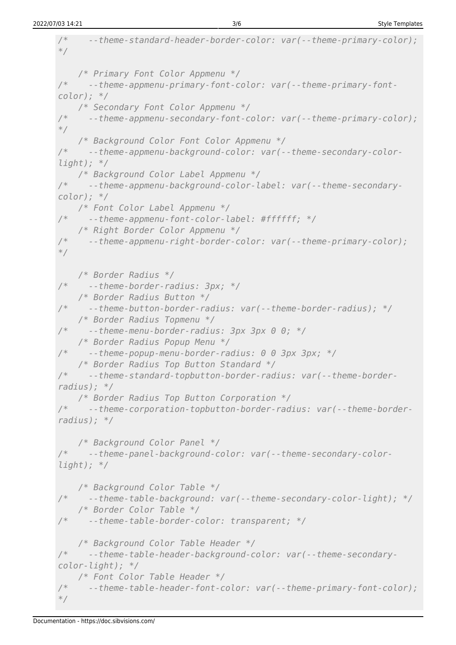```
/* --theme-standard-header-border-color: var(--theme-primary-color);
*/
    /* Primary Font Color Appmenu */
/* --theme-appmenu-primary-font-color: var(--theme-primary-font-
color); */
     /* Secondary Font Color Appmenu */
/* --theme-appmenu-secondary-font-color: var(--theme-primary-color);
*/
     /* Background Color Font Color Appmenu */
/* --theme-appmenu-background-color: var(--theme-secondary-color-
light); */
     /* Background Color Label Appmenu */
/* --theme-appmenu-background-color-label: var(--theme-secondary-
color); */
    /* Font Color Label Appmenu */
/* --theme-appmenu-font-color-label: #ffffff; */
 /* Right Border Color Appmenu */
     /* --theme-appmenu-right-border-color: var(--theme-primary-color);
*/
    /* Border Radius */
/* --theme-border-radius: 3px; */
 /* Border Radius Button */
     /* --theme-button-border-radius: var(--theme-border-radius); */
    /* Border Radius Topmenu */
/* --theme-menu-border-radius: 3px 3px 0 0; */
 /* Border Radius Popup Menu */
     /* --theme-popup-menu-border-radius: 0 0 3px 3px; */
     /* Border Radius Top Button Standard */
/* --theme-standard-topbutton-border-radius: var(--theme-border-
radius); */
     /* Border Radius Top Button Corporation */
/* --theme-corporation-topbutton-border-radius: var(--theme-border-
radius); */
     /* Background Color Panel */
/* --theme-panel-background-color: var(--theme-secondary-color-
light); */
 /* Background Color Table */
     /* --theme-table-background: var(--theme-secondary-color-light); */
    /* Border Color Table */
/* --theme-table-border-color: transparent; */
     /* Background Color Table Header */
/* --theme-table-header-background-color: var(--theme-secondary-
color-light); */
     /* Font Color Table Header */
/* --theme-table-header-font-color: var(--theme-primary-font-color);
*/
```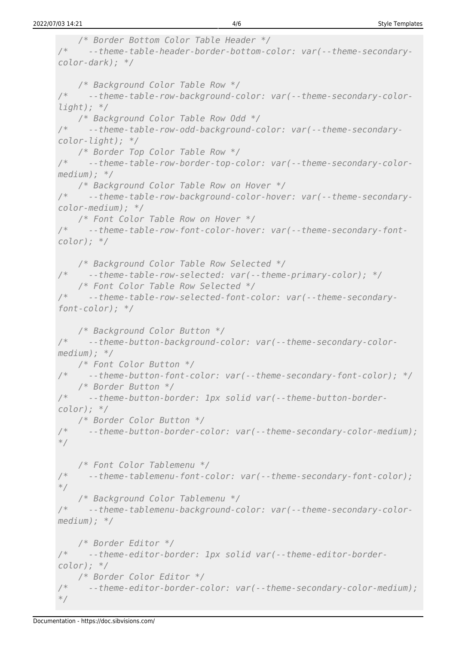```
 /* Border Bottom Color Table Header */
/* --theme-table-header-border-bottom-color: var(--theme-secondary-
color-dark); */
    /* Background Color Table Row */
/* --theme-table-row-background-color: var(--theme-secondary-color-
light); */
    /* Background Color Table Row Odd */
/* --theme-table-row-odd-background-color: var(--theme-secondary-
color-light); */
    /* Border Top Color Table Row */
/* --theme-table-row-border-top-color: var(--theme-secondary-color-
medium); */
    /* Background Color Table Row on Hover */
/* --theme-table-row-background-color-hover: var(--theme-secondary-
color-medium); */
    /* Font Color Table Row on Hover */
/* --theme-table-row-font-color-hover: var(--theme-secondary-font-
color); */
    /* Background Color Table Row Selected */
/* --theme-table-row-selected: var(--theme-primary-color); */
    /* Font Color Table Row Selected */
/* --theme-table-row-selected-font-color: var(--theme-secondary-
font-color); */
    /* Background Color Button */
/* --theme-button-background-color: var(--theme-secondary-color-
medium); */
 /* Font Color Button */
     /* --theme-button-font-color: var(--theme-secondary-font-color); */
    /* Border Button */
/* --theme-button-border: 1px solid var(--theme-button-border-
color); */
    /* Border Color Button */
/* --theme-button-border-color: var(--theme-secondary-color-medium);
*/
    /* Font Color Tablemenu */
/* --theme-tablemenu-font-color: var(--theme-secondary-font-color);
*/
    /* Background Color Tablemenu */
/* --theme-tablemenu-background-color: var(--theme-secondary-color-
medium); */
    /* Border Editor */
/* --theme-editor-border: 1px solid var(--theme-editor-border-
color); */
    /* Border Color Editor */
/* --theme-editor-border-color: var(--theme-secondary-color-medium);
*/
```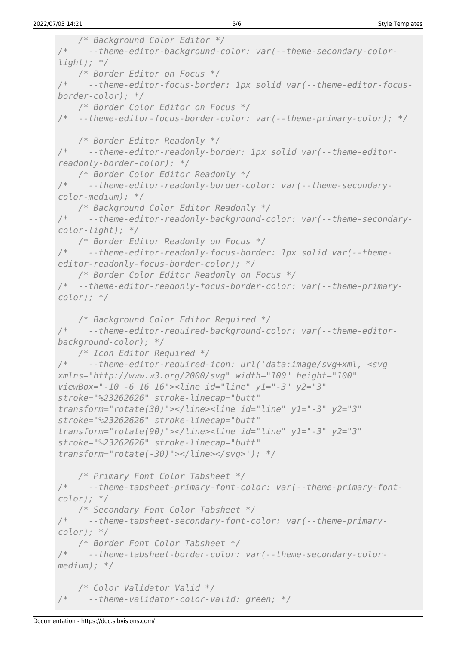```
 /* Background Color Editor */
/* --theme-editor-background-color: var(--theme-secondary-color-
light); */
    /* Border Editor on Focus */
/* --theme-editor-focus-border: 1px solid var(--theme-editor-focus-
border-color); */
    /* Border Color Editor on Focus */
/* --theme-editor-focus-border-color: var(--theme-primary-color); */
    /* Border Editor Readonly */
/* --theme-editor-readonly-border: 1px solid var(--theme-editor-
readonly-border-color); */
    /* Border Color Editor Readonly */
/* --theme-editor-readonly-border-color: var(--theme-secondary-
color-medium); */
    /* Background Color Editor Readonly */
/* --theme-editor-readonly-background-color: var(--theme-secondary-
color-light); */
    /* Border Editor Readonly on Focus */
/* --theme-editor-readonly-focus-border: 1px solid var(--theme-
editor-readonly-focus-border-color); */
    /* Border Color Editor Readonly on Focus */
/* --theme-editor-readonly-focus-border-color: var(--theme-primary-
color); */
    /* Background Color Editor Required */
/* --theme-editor-required-background-color: var(--theme-editor-
background-color); */
    /* Icon Editor Required */
/* --theme-editor-required-icon: url('data:image/svg+xml, <svg
xmlns="http://www.w3.org/2000/svg" width="100" height="100"
viewBox="-10 -6 16 16"><line id="line" y1="-3" y2="3"
stroke="%23262626" stroke-linecap="butt"
transform="rotate(30)"></line><line id="line" y1="-3" y2="3"
stroke="%23262626" stroke-linecap="butt"
transform="rotate(90)"></line><line id="line" y1="-3" y2="3"
stroke="%23262626" stroke-linecap="butt"
transform="rotate(-30)"></line></svg>'); */
    /* Primary Font Color Tabsheet */
/* --theme-tabsheet-primary-font-color: var(--theme-primary-font-
color); */
    /* Secondary Font Color Tabsheet */
/* --theme-tabsheet-secondary-font-color: var(--theme-primary-
color); */
    /* Border Font Color Tabsheet */
      /* --theme-tabsheet-border-color: var(--theme-secondary-color-
medium); */
    /* Color Validator Valid */
      /* --theme-validator-color-valid: green; */
```